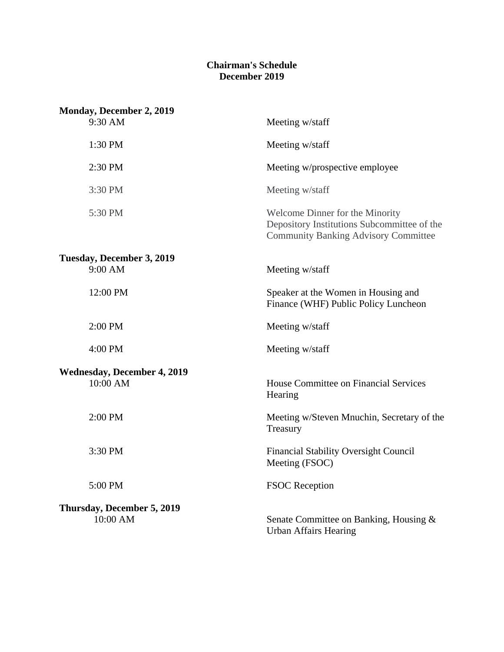## **Chairman's Schedule December 2019**

| <b>Monday, December 2, 2019</b>    |                                                                                                                               |
|------------------------------------|-------------------------------------------------------------------------------------------------------------------------------|
| 9:30 AM                            | Meeting w/staff                                                                                                               |
| 1:30 PM                            | Meeting w/staff                                                                                                               |
| 2:30 PM                            | Meeting w/prospective employee                                                                                                |
| 3:30 PM                            | Meeting w/staff                                                                                                               |
| 5:30 PM                            | Welcome Dinner for the Minority<br>Depository Institutions Subcommittee of the<br><b>Community Banking Advisory Committee</b> |
| Tuesday, December 3, 2019          |                                                                                                                               |
| 9:00 AM                            | Meeting w/staff                                                                                                               |
| 12:00 PM                           | Speaker at the Women in Housing and<br>Finance (WHF) Public Policy Luncheon                                                   |
| 2:00 PM                            | Meeting w/staff                                                                                                               |
| 4:00 PM                            | Meeting w/staff                                                                                                               |
| <b>Wednesday, December 4, 2019</b> |                                                                                                                               |
| 10:00 AM                           | House Committee on Financial Services<br>Hearing                                                                              |
| 2:00 PM                            | Meeting w/Steven Mnuchin, Secretary of the<br>Treasury                                                                        |
| 3:30 PM                            | <b>Financial Stability Oversight Council</b><br>Meeting (FSOC)                                                                |
| 5:00 PM                            | <b>FSOC</b> Reception                                                                                                         |
| Thursday, December 5, 2019         |                                                                                                                               |
| 10:00 AM                           | Senate Committee on Banking, Housing &<br><b>Urban Affairs Hearing</b>                                                        |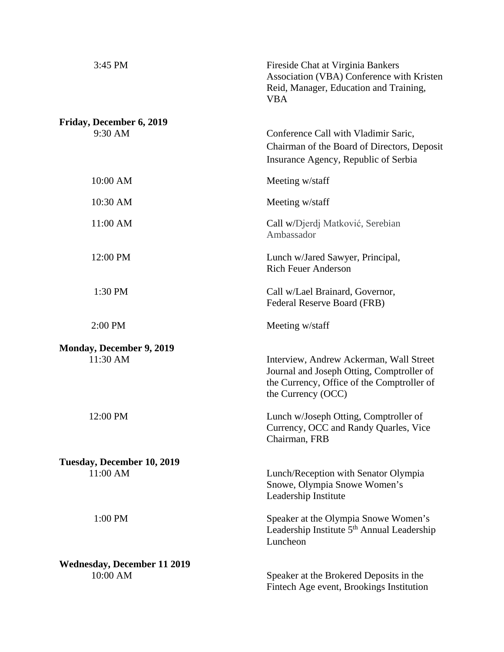| 3:45 PM                                        | Fireside Chat at Virginia Bankers<br>Association (VBA) Conference with Kristen<br>Reid, Manager, Education and Training,<br><b>VBA</b>                   |
|------------------------------------------------|----------------------------------------------------------------------------------------------------------------------------------------------------------|
| Friday, December 6, 2019<br>9:30 AM            | Conference Call with Vladimir Saric,<br>Chairman of the Board of Directors, Deposit<br>Insurance Agency, Republic of Serbia                              |
| 10:00 AM                                       | Meeting w/staff                                                                                                                                          |
| 10:30 AM                                       | Meeting w/staff                                                                                                                                          |
| 11:00 AM                                       | Call w/Djerdj Matković, Serebian<br>Ambassador                                                                                                           |
| 12:00 PM                                       | Lunch w/Jared Sawyer, Principal,<br><b>Rich Feuer Anderson</b>                                                                                           |
| 1:30 PM                                        | Call w/Lael Brainard, Governor,<br>Federal Reserve Board (FRB)                                                                                           |
| 2:00 PM                                        | Meeting w/staff                                                                                                                                          |
| <b>Monday, December 9, 2019</b><br>11:30 AM    | Interview, Andrew Ackerman, Wall Street<br>Journal and Joseph Otting, Comptroller of<br>the Currency, Office of the Comptroller of<br>the Currency (OCC) |
| 12:00 PM                                       | Lunch w/Joseph Otting, Comptroller of<br>Currency, OCC and Randy Quarles, Vice<br>Chairman, FRB                                                          |
| Tuesday, December 10, 2019<br>11:00 AM         | Lunch/Reception with Senator Olympia<br>Snowe, Olympia Snowe Women's                                                                                     |
| 1:00 PM                                        | Leadership Institute<br>Speaker at the Olympia Snowe Women's<br>Leadership Institute 5 <sup>th</sup> Annual Leadership<br>Luncheon                       |
| <b>Wednesday, December 11 2019</b><br>10:00 AM | Speaker at the Brokered Deposits in the<br>Fintech Age event, Brookings Institution                                                                      |